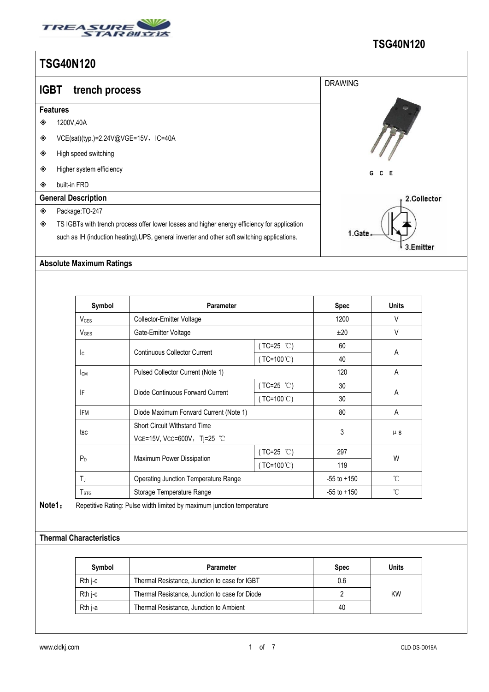

| <b>IGBT</b> | trench process                                                                               | <b>DRAWING</b>       |
|-------------|----------------------------------------------------------------------------------------------|----------------------|
|             | <b>Features</b>                                                                              |                      |
| ◈           | 1200V,40A                                                                                    |                      |
| ◈           | VCE(sat)(typ.)=2.24V@VGE=15V,IC=40A                                                          |                      |
| ◈           | High speed switching                                                                         |                      |
| ◈           | Higher system efficiency                                                                     | G<br>C<br>- E        |
| ◈           | built-in FRD                                                                                 |                      |
|             | <b>General Description</b>                                                                   | 2.Collector          |
| ◈           | Package: TO-247                                                                              |                      |
| ◈           | TS IGBTs with trench process offer lower losses and higher energy efficiency for application |                      |
|             | such as IH (induction heating), UPS, general inverter and other soft switching applications. | 1.Gate.<br>3.Emitter |

## **Absolute Maximum Ratings**

| Symbol                  | <b>Parameter</b>                                                   |                       | <b>Spec</b>     | <b>Units</b> |
|-------------------------|--------------------------------------------------------------------|-----------------------|-----------------|--------------|
| $V_{CES}$               | Collector-Emitter Voltage                                          |                       | 1200            | V            |
| V <sub>GES</sub>        | Gate-Emitter Voltage                                               |                       | ±20             | V            |
|                         | <b>Continuous Collector Current</b>                                | $(TC=25 °C)$          | 60              | Α            |
| lc.                     |                                                                    | ( $TC=100^{\circ}$ C) | 40              |              |
| Iсм                     | Pulsed Collector Current (Note 1)                                  | 120                   | A               |              |
|                         | Diode Continuous Forward Current                                   | $(TC=25 °C)$          | 30              | A            |
| IF                      |                                                                    | $(TC=100^{\circ}C)$   | 30              |              |
| <b>IFM</b>              | Diode Maximum Forward Current (Note 1)                             |                       | 80              | A            |
|                         | <b>Short Circuit Withstand Time</b><br>VGE=15V, VCC=600V, Tj=25 °C |                       | 3               | $\mu$ S      |
| tsc                     |                                                                    |                       |                 |              |
|                         | Maximum Power Dissipation                                          | (TC=25 °C)            | 297             | W            |
| $P_D$                   |                                                                    | $(TC=100^{\circ}C)$   | 119             |              |
| $T_J$                   | <b>Operating Junction Temperature Range</b>                        |                       | $-55$ to $+150$ | $^{\circ}$ C |
| <b>T</b> <sub>STG</sub> | Storage Temperature Range                                          |                       | $-55$ to $+150$ | $^{\circ}$ C |

**Note1:** Repetitive Rating: Pulse width limited by maximum junction temperature

## **Thermal Characteristics**

| Svmbol  | Parameter                                      | <b>Spec</b> | Units     |
|---------|------------------------------------------------|-------------|-----------|
| Rth i-c | Thermal Resistance, Junction to case for IGBT  | 0.6         |           |
| Rth i-c | Thermal Resistance, Junction to case for Diode |             | <b>KW</b> |
| Rth j-a | Thermal Resistance, Junction to Ambient        | 40          |           |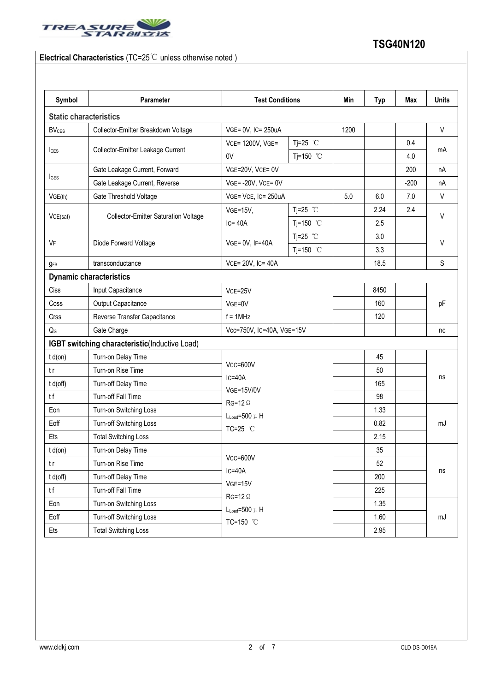

## **Electrical Characteristics** (TC=25℃ unless otherwise noted )

| Symbol                    | Parameter                                     | <b>Test Conditions</b>                                                                  |            | Min  | <b>Typ</b> | Max    | <b>Units</b> |  |
|---------------------------|-----------------------------------------------|-----------------------------------------------------------------------------------------|------------|------|------------|--------|--------------|--|
|                           | <b>Static characteristics</b>                 |                                                                                         |            |      |            |        |              |  |
| <b>BV<sub>CES</sub></b>   | Collector-Emitter Breakdown Voltage           | VGE= 0V, IC= 250uA                                                                      |            | 1200 |            |        | $\vee$       |  |
|                           | Collector-Emitter Leakage Current             | VCE= 1200V, VGE=                                                                        | Tj=25 $°C$ |      |            | 0.4    |              |  |
| $l_{\text{CES}}$          |                                               | 0V                                                                                      | Tj=150 °C  |      |            | 4.0    | mA           |  |
|                           | Gate Leakage Current, Forward                 | VGE=20V, VCE= 0V                                                                        |            |      |            | 200    | nA           |  |
| <b>I</b> GES              | Gate Leakage Current, Reverse                 | $VGE = -20V$ , $VCE = 0V$                                                               |            |      |            | $-200$ | nA           |  |
| VGE(th)                   | Gate Threshold Voltage                        | VGE= VCE, IC= 250uA                                                                     |            | 5.0  | 6.0        | 7.0    | V            |  |
|                           | <b>Collector-Emitter Saturation Voltage</b>   | $VGE=15V,$                                                                              | Tj=25 $°C$ |      | 2.24       | 2.4    |              |  |
| VCE(sat)                  |                                               | $IC = 40A$                                                                              | Tj=150 °C  |      | 2.5        |        | V            |  |
|                           | Diode Forward Voltage                         |                                                                                         | Tj=25 $°C$ |      | 3.0        |        |              |  |
| VF                        |                                               | VGE= 0V, IF=40A                                                                         | Tj=150 °C  |      | 3.3        |        | $\vee$       |  |
| <b>g</b> <sub>FS</sub>    | transconductance                              | VCE= 20V, IC= 40A                                                                       |            |      | 18.5       |        | S            |  |
|                           | <b>Dynamic characteristics</b>                |                                                                                         |            |      |            |        |              |  |
| Ciss                      | Input Capacitance                             | $VCE = 25V$<br>VGE=0V<br>$f = 1$ MHz                                                    |            |      | 8450       |        | pF           |  |
| Coss                      | Output Capacitance                            |                                                                                         |            |      | 160        |        |              |  |
| Crss                      | Reverse Transfer Capacitance                  |                                                                                         |            |      | 120        |        |              |  |
| $\mathsf{Q}_{\mathsf{G}}$ | Gate Charge                                   | Vcc=750V, IC=40A, VGE=15V                                                               |            |      |            |        | nc           |  |
|                           | IGBT switching characteristic(Inductive Load) |                                                                                         |            |      |            |        |              |  |
| $t d($ on $)$             | Turn-on Delay Time                            |                                                                                         |            |      | 45         |        |              |  |
| t r                       | Turn-on Rise Time                             | Vcc=600V                                                                                |            |      | 50         |        |              |  |
| t d(off)                  | Turn-off Delay Time                           | $IC = 40A$<br><b>VGE=15V/0V</b><br>$RG=12 \Omega$<br>$L_{Load} = 500 \mu H$<br>TC=25 °C |            |      | 165        |        | ns<br>mJ     |  |
| tf                        | Turn-off Fall Time                            |                                                                                         |            |      | 98         |        |              |  |
| Eon                       | Turn-on Switching Loss                        |                                                                                         |            |      | 1.33       |        |              |  |
| Eoff                      | Turn-off Switching Loss                       |                                                                                         |            |      | 0.82       |        |              |  |
| Ets                       | <b>Total Switching Loss</b>                   |                                                                                         |            |      | 2.15       |        |              |  |
| $t d($ on $)$             | Turn-on Delay Time                            | $Vcc = 600V$<br>$IC = 40A$<br>$VGE = 15V$                                               |            |      | 35         |        |              |  |
| t r                       | Turn-on Rise Time                             |                                                                                         |            |      | 52         |        | ns           |  |
| t d(off)                  | Turn-off Delay Time                           |                                                                                         |            |      | 200        |        |              |  |
| tf                        | Turn-off Fall Time                            |                                                                                         |            |      | 225        |        |              |  |
| Eon                       | Turn-on Switching Loss                        | $RG=12 \Omega$<br>$L_{Load} = 500 \mu H$                                                |            |      | 1.35       |        |              |  |
| Eoff                      | Turn-off Switching Loss                       | TC=150 °C                                                                               |            |      | 1.60       |        | mJ           |  |
| Ets                       | <b>Total Switching Loss</b>                   |                                                                                         |            |      | 2.95       |        |              |  |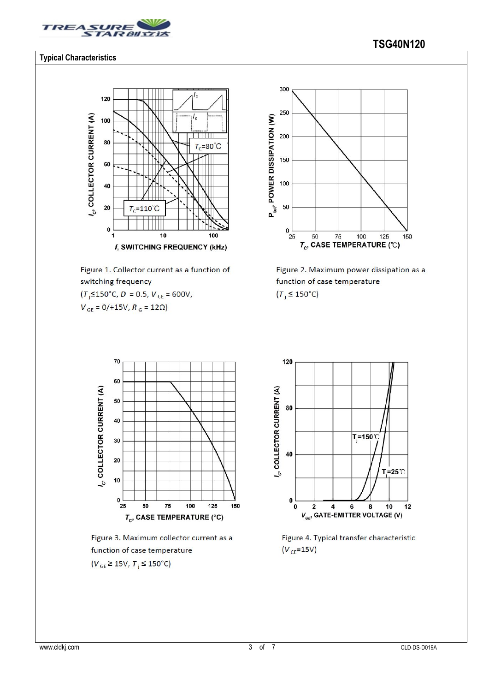

### **Typical Characteristics**



Figure 1. Collector current as a function of switching frequency

 $(T$ <sub>i</sub> $\leq$ 150°C, D = 0.5, V<sub>CE</sub> = 600V,

 $V_{GE} = 0/115V, R_G = 12\Omega$ 



Figure 2. Maximum power dissipation as a function of case temperature  $(T_i \leq 150^{\circ}C)$ 



Figure 3. Maximum collector current as a function of case temperature  $(V_{GE} \ge 15V, T_{i} \le 150^{\circ}C)$ 



Figure 4. Typical transfer characteristic  $(V_{CE} = 15V)$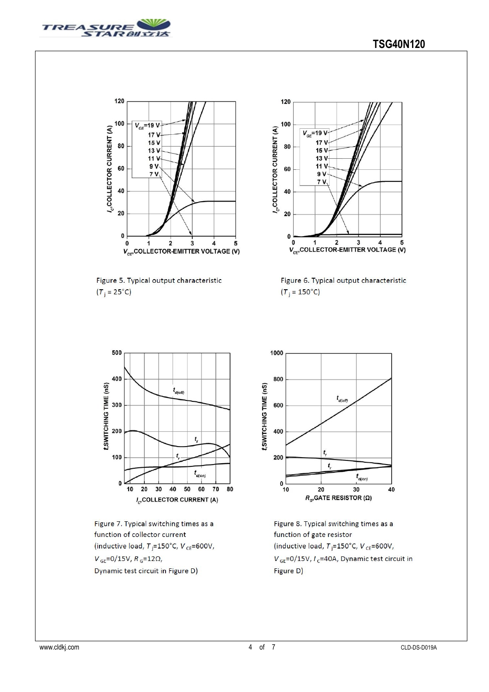



Figure 5. Typical output characteristic  $(T_i = 25^{\circ}C)$ 



Figure 6. Typical output characteristic  $(T_i = 150^{\circ}C)$ 



Figure 7. Typical switching times as a function of collector current (inductive load,  $T$ <sub>i</sub>=150°C,  $V$ <sub>CE</sub>=600V,  $V_{GE}$ =0/15V,  $R_{G}$ =12Ω, Dynamic test circuit in Figure D)



Figure 8. Typical switching times as a function of gate resistor (inductive load,  $T_i = 150^{\circ}$ C, V<sub>CE</sub>=600V,  $V_{GE}$ =0/15V,  $I_c$ =40A, Dynamic test circuit in Figure D)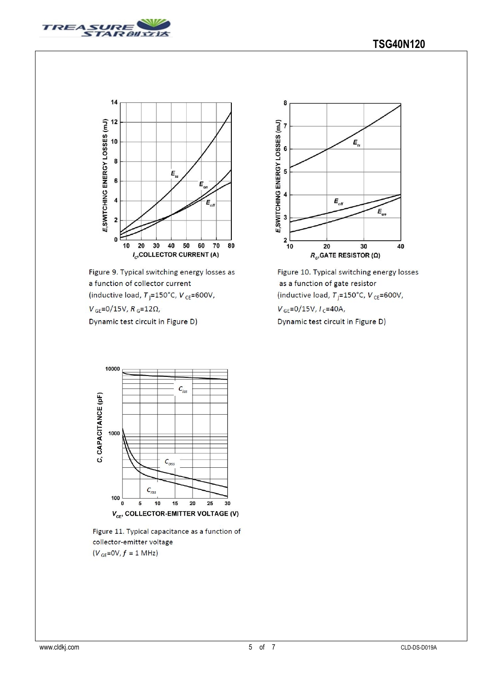



Figure 9. Typical switching energy losses as a function of collector current (inductive load,  $T_{\rm j}$ =150°C,  $V_{\rm CE}$ =600V,

 $V_{GE} = 0/15V, R_G = 12\Omega,$ 

Dynamic test circuit in Figure D)







Figure 11. Typical capacitance as a function of collector-emitter voltage  $(V_{GE}=0V, f = 1 MHz)$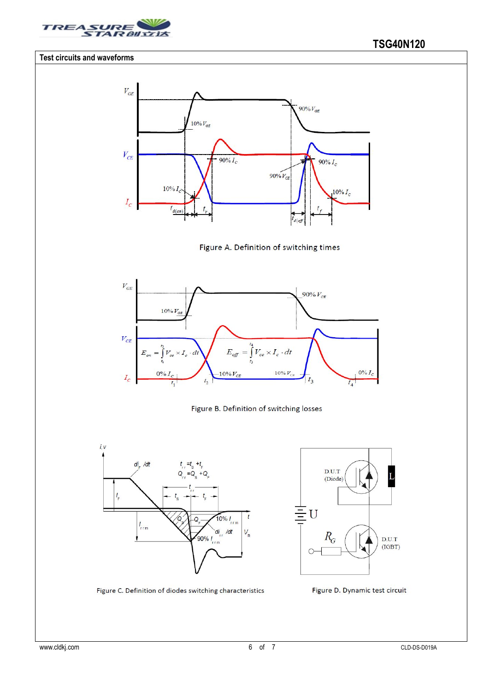

#### **Test circuits and waveforms**













Figure C. Definition of diodes switching characteristics

Figure D. Dynamic test circuit